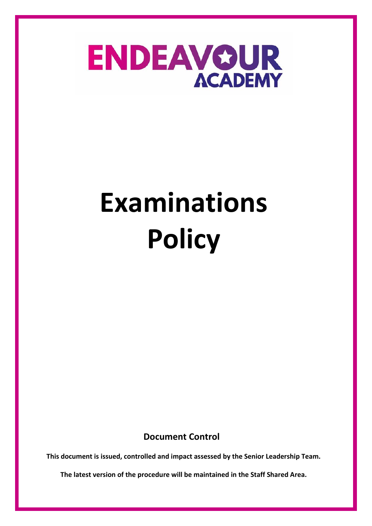

**Document Control**

**This document is issued, controlled and impact assessed by the Senior Leadership Team.** 

**The latest version of the procedure will be maintained in the Staff Shared Area.**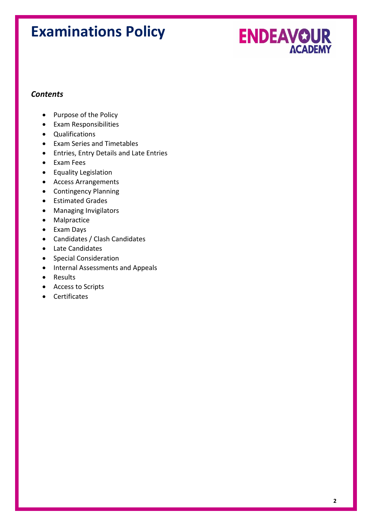

#### *Contents*

- Purpose of the Policy
- Exam Responsibilities
- Qualifications
- Exam Series and Timetables
- Entries, Entry Details and Late Entries
- Exam Fees
- Equality Legislation
- Access Arrangements
- Contingency Planning
- Estimated Grades
- Managing Invigilators
- Malpractice
- Exam Days
- Candidates / Clash Candidates
- Late Candidates
- Special Consideration
- Internal Assessments and Appeals
- Results
- Access to Scripts
- Certificates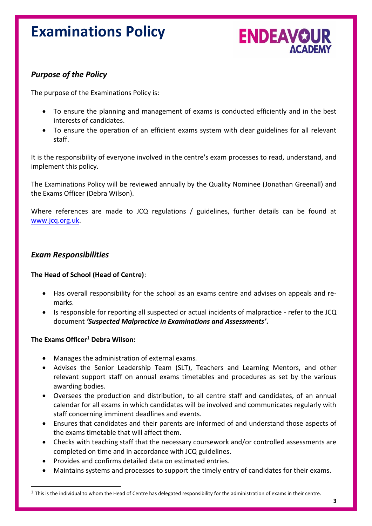

#### *Purpose of the Policy*

The purpose of the Examinations Policy is:

- To ensure the planning and management of exams is conducted efficiently and in the best interests of candidates.
- To ensure the operation of an efficient exams system with clear guidelines for all relevant staff.

It is the responsibility of everyone involved in the centre's exam processes to read, understand, and implement this policy.

The Examinations Policy will be reviewed annually by the Quality Nominee (Jonathan Greenall) and the Exams Officer (Debra Wilson).

Where references are made to JCQ regulations / guidelines, further details can be found at [www.jcq.org.uk.](http://www.jcq.org.uk/)

#### *Exam Responsibilities*

#### **The Head of School (Head of Centre)**:

- Has overall responsibility for the school as an exams centre and advises on appeals and remarks.
- Is responsible for reporting all suspected or actual incidents of malpractice refer to the JCQ document *'Suspected Malpractice in Examinations and Assessments'***.**

#### **The Exams Officer**<sup>1</sup> **Debra Wilson:**

- Manages the administration of external exams*.*
- Advises the Senior Leadership Team (SLT), Teachers and Learning Mentors, and other relevant support staff on annual exams timetables and procedures as set by the various awarding bodies.
- Oversees the production and distribution, to all centre staff and candidates, of an annual calendar for all exams in which candidates will be involved and communicates regularly with staff concerning imminent deadlines and events.
- Ensures that candidates and their parents are informed of and understand those aspects of the exams timetable that will affect them.
- Checks with teaching staff that the necessary coursework and/or controlled assessments are completed on time and in accordance with JCQ guidelines.
- Provides and confirms detailed data on estimated entries.
- Maintains systems and processes to support the timely entry of candidates for their exams.

 $1$  This is the individual to whom the Head of Centre has delegated responsibility for the administration of exams in their centre.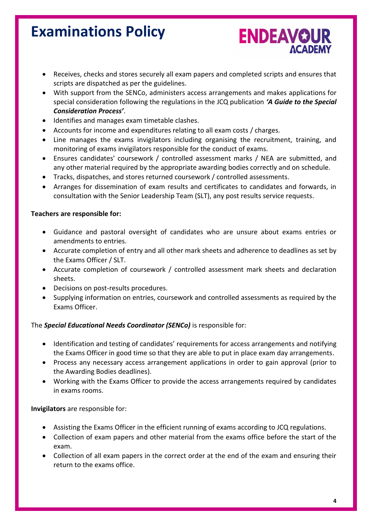• Receives, checks and stores securely all exam papers and completed scripts and ensures that scripts are dispatched as per the guidelines.

**ENDEAVOUR** 

- With support from the SENCo, administers access arrangements and makes applications for special consideration following the regulations in the JCQ publication *'A Guide to the Special Consideration Process'*.
- Identifies and manages exam timetable clashes.
- Accounts for income and expenditures relating to all exam costs / charges.
- Line manages the exams invigilators including organising the recruitment, training, and monitoring of exams invigilators responsible for the conduct of exams.
- Ensures candidates' coursework / controlled assessment marks / NEA are submitted, and any other material required by the appropriate awarding bodies correctly and on schedule.
- Tracks, dispatches, and stores returned coursework / controlled assessments.
- Arranges for dissemination of exam results and certificates to candidates and forwards, in consultation with the Senior Leadership Team (SLT), any post results service requests.

#### **Teachers are responsible for:**

- Guidance and pastoral oversight of candidates who are unsure about exams entries or amendments to entries.
- Accurate completion of entry and all other mark sheets and adherence to deadlines as set by the Exams Officer / SLT.
- Accurate completion of coursework / controlled assessment mark sheets and declaration sheets.
- Decisions on post-results procedures.
- Supplying information on entries, coursework and controlled assessments as required by the Exams Officer.

#### The *Special Educational Needs Coordinator (SENCo)* is responsible for:

- Identification and testing of candidates' requirements for access arrangements and notifying the Exams Officer in good time so that they are able to put in place exam day arrangements.
- Process any necessary access arrangement applications in order to gain approval (prior to the Awarding Bodies deadlines).
- Working with the Exams Officer to provide the access arrangements required by candidates in exams rooms.

#### **Invigilators** are responsible for:

- Assisting the Exams Officer in the efficient running of exams according to JCQ regulations.
- Collection of exam papers and other material from the exams office before the start of the exam.
- Collection of all exam papers in the correct order at the end of the exam and ensuring their return to the exams office.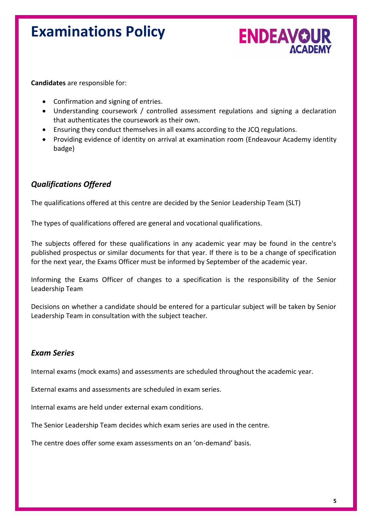

**Candidates** are responsible for:

- Confirmation and signing of entries.
- Understanding coursework / controlled assessment regulations and signing a declaration that authenticates the coursework as their own.
- Ensuring they conduct themselves in all exams according to the JCQ regulations.
- Providing evidence of identity on arrival at examination room (Endeavour Academy identity badge)

#### *Qualifications Offered*

The qualifications offered at this centre are decided by the Senior Leadership Team (SLT)

The types of qualifications offered are general and vocational qualifications.

The subjects offered for these qualifications in any academic year may be found in the centre's published prospectus or similar documents for that year. If there is to be a change of specification for the next year, the Exams Officer must be informed by September of the academic year.

Informing the Exams Officer of changes to a specification is the responsibility of the Senior Leadership Team

Decisions on whether a candidate should be entered for a particular subject will be taken by Senior Leadership Team in consultation with the subject teacher*.*

#### *Exam Series*

Internal exams (mock exams) and assessments are scheduled throughout the academic year.

External exams and assessments are scheduled in exam series.

Internal exams are held under external exam conditions.

The Senior Leadership Team decides which exam series are used in the centre.

The centre does offer some exam assessments on an 'on-demand' basis.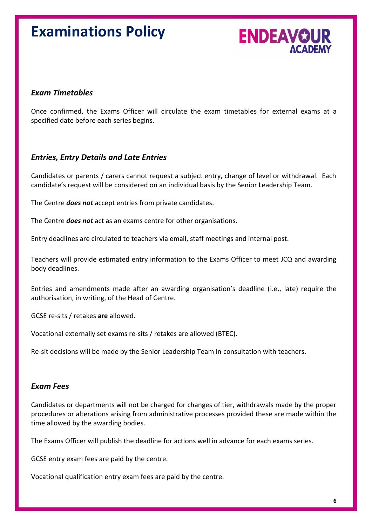

#### *Exam Timetables*

Once confirmed, the Exams Officer will circulate the exam timetables for external exams at a specified date before each series begins.

#### *Entries, Entry Details and Late Entries*

Candidates or parents / carers cannot request a subject entry, change of level or withdrawal. Each candidate's request will be considered on an individual basis by the Senior Leadership Team.

The Centre *does not* accept entries from private candidates.

The Centre *does not* act as an exams centre for other organisations.

Entry deadlines are circulated to teachers via email, staff meetings and internal post.

Teachers will provide estimated entry information to the Exams Officer to meet JCQ and awarding body deadlines.

Entries and amendments made after an awarding organisation's deadline (i.e., late) require the authorisation, in writing, of the Head of Centre.

GCSE re-sits / retakes **are** allowed.

Vocational externally set exams re-sits / retakes are allowed (BTEC).

Re-sit decisions will be made by the Senior Leadership Team in consultation with teachers.

#### *Exam Fees*

Candidates or departments will not be charged for changes of tier, withdrawals made by the proper procedures or alterations arising from administrative processes provided these are made within the time allowed by the awarding bodies.

The Exams Officer will publish the deadline for actions well in advance for each exams series.

GCSE entry exam fees are paid by the centre.

Vocational qualification entry exam fees are paid by the centre.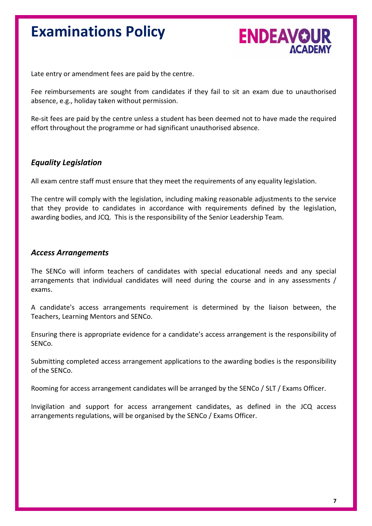

Late entry or amendment fees are paid by the centre.

Fee reimbursements are sought from candidates if they fail to sit an exam due to unauthorised absence, e.g., holiday taken without permission.

Re-sit fees are paid by the centre unless a student has been deemed not to have made the required effort throughout the programme or had significant unauthorised absence.

#### *Equality Legislation*

All exam centre staff must ensure that they meet the requirements of any equality legislation.

The centre will comply with the legislation, including making reasonable adjustments to the service that they provide to candidates in accordance with requirements defined by the legislation, awarding bodies, and JCQ. This is the responsibility of the Senior Leadership Team.

#### *Access Arrangements*

The SENCo will inform teachers of candidates with special educational needs and any special arrangements that individual candidates will need during the course and in any assessments / exams.

A candidate's access arrangements requirement is determined by the liaison between, the Teachers, Learning Mentors and SENCo.

Ensuring there is appropriate evidence for a candidate's access arrangement is the responsibility of SENCo.

Submitting completed access arrangement applications to the awarding bodies is the responsibility of the SENCo.

Rooming for access arrangement candidates will be arranged by the SENCo / SLT / Exams Officer.

Invigilation and support for access arrangement candidates, as defined in the JCQ access arrangements regulations, will be organised by the SENCo / Exams Officer.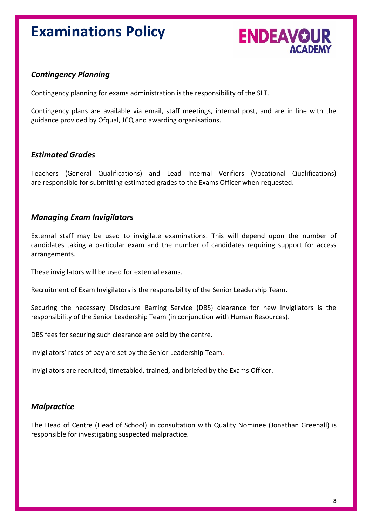

#### *Contingency Planning*

Contingency planning for exams administration is the responsibility of the SLT.

Contingency plans are available via email, staff meetings, internal post, and are in line with the guidance provided by Ofqual, JCQ and awarding organisations.

#### *Estimated Grades*

Teachers (General Qualifications) and Lead Internal Verifiers (Vocational Qualifications) are responsible for submitting estimated grades to the Exams Officer when requested.

#### *Managing Exam Invigilators*

External staff may be used to invigilate examinations. This will depend upon the number of candidates taking a particular exam and the number of candidates requiring support for access arrangements.

These invigilators will be used for external exams.

Recruitment of Exam Invigilators is the responsibility of the Senior Leadership Team.

Securing the necessary Disclosure Barring Service (DBS) clearance for new invigilators is the responsibility of the Senior Leadership Team (in conjunction with Human Resources).

DBS fees for securing such clearance are paid by the centre.

Invigilators' rates of pay are set by the Senior Leadership Team.

Invigilators are recruited, timetabled, trained, and briefed by the Exams Officer.

#### *Malpractice*

The Head of Centre (Head of School) in consultation with Quality Nominee (Jonathan Greenall) is responsible for investigating suspected malpractice.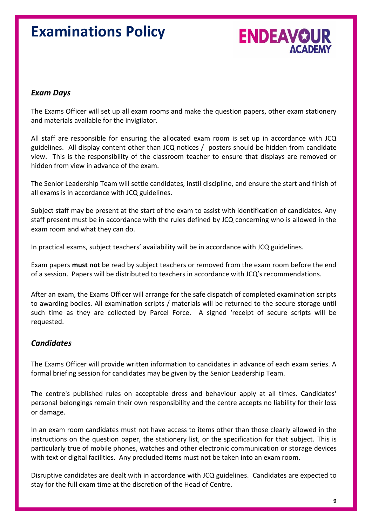

#### *Exam Days*

The Exams Officer will set up all exam rooms and make the question papers, other exam stationery and materials available for the invigilator.

All staff are responsible for ensuring the allocated exam room is set up in accordance with JCQ guidelines. All display content other than JCQ notices / posters should be hidden from candidate view. This is the responsibility of the classroom teacher to ensure that displays are removed or hidden from view in advance of the exam.

The Senior Leadership Team will settle candidates, instil discipline, and ensure the start and finish of all exams is in accordance with JCQ guidelines.

Subject staff may be present at the start of the exam to assist with identification of candidates. Any staff present must be in accordance with the rules defined by JCQ concerning who is allowed in the exam room and what they can do.

In practical exams, subject teachers' availability will be in accordance with JCQ guidelines.

Exam papers **must not** be read by subject teachers or removed from the exam room before the end of a session. Papers will be distributed to teachers in accordance with JCQ's recommendations.

After an exam, the Exams Officer will arrange for the safe dispatch of completed examination scripts to awarding bodies. All examination scripts / materials will be returned to the secure storage until such time as they are collected by Parcel Force. A signed 'receipt of secure scripts will be requested.

#### *Candidates*

The Exams Officer will provide written information to candidates in advance of each exam series. A formal briefing session for candidates may be given by the Senior Leadership Team.

The centre's published rules on acceptable dress and behaviour apply at all times. Candidates' personal belongings remain their own responsibility and the centre accepts no liability for their loss or damage.

In an exam room candidates must not have access to items other than those clearly allowed in the instructions on the question paper, the stationery list, or the specification for that subject. This is particularly true of mobile phones, watches and other electronic communication or storage devices with text or digital facilities. Any precluded items must not be taken into an exam room.

Disruptive candidates are dealt with in accordance with JCQ guidelines. Candidates are expected to stay for the full exam time at the discretion of the Head of Centre.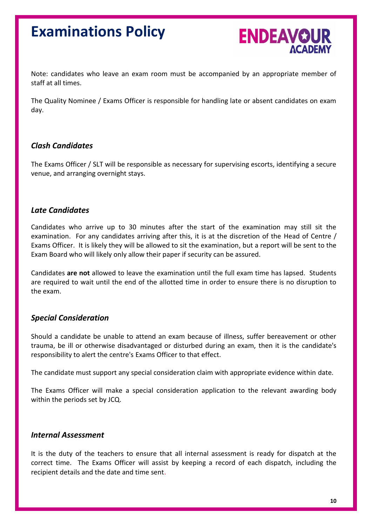

Note: candidates who leave an exam room must be accompanied by an appropriate member of staff at all times.

The Quality Nominee / Exams Officer is responsible for handling late or absent candidates on exam day.

#### *Clash Candidates*

The Exams Officer / SLT will be responsible as necessary for supervising escorts, identifying a secure venue, and arranging overnight stays.

#### *Late Candidates*

Candidates who arrive up to 30 minutes after the start of the examination may still sit the examination. For any candidates arriving after this, it is at the discretion of the Head of Centre / Exams Officer. It is likely they will be allowed to sit the examination, but a report will be sent to the Exam Board who will likely only allow their paper if security can be assured.

Candidates **are not** allowed to leave the examination until the full exam time has lapsed. Students are required to wait until the end of the allotted time in order to ensure there is no disruption to the exam.

#### *Special Consideration*

Should a candidate be unable to attend an exam because of illness, suffer bereavement or other trauma, be ill or otherwise disadvantaged or disturbed during an exam, then it is the candidate's responsibility to alert the centre's Exams Officer to that effect.

The candidate must support any special consideration claim with appropriate evidence within date.

The Exams Officer will make a special consideration application to the relevant awarding body within the periods set by JCQ.

#### *Internal Assessment*

It is the duty of the teachers to ensure that all internal assessment is ready for dispatch at the correct time. The Exams Officer will assist by keeping a record of each dispatch, including the recipient details and the date and time sent.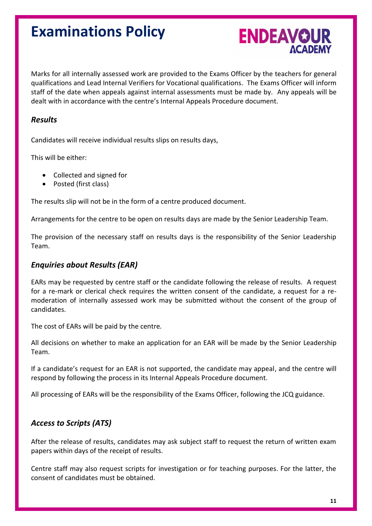

Marks for all internally assessed work are provided to the Exams Officer by the teachers for general qualifications and Lead Internal Verifiers for Vocational qualifications. The Exams Officer will inform staff of the date when appeals against internal assessments must be made by. Any appeals will be dealt with in accordance with the centre's Internal Appeals Procedure document.

#### *Results*

Candidates will receive individual results slips on results days,

This will be either:

- Collected and signed for
- Posted (first class)

The results slip will not be in the form of a centre produced document.

Arrangements for the centre to be open on results days are made by the Senior Leadership Team.

The provision of the necessary staff on results days is the responsibility of the Senior Leadership Team.

#### *Enquiries about Results (EAR)*

EARs may be requested by centre staff or the candidate following the release of results. A request for a re-mark or clerical check requires the written consent of the candidate, a request for a remoderation of internally assessed work may be submitted without the consent of the group of candidates.

The cost of EARs will be paid by the centre*.*

All decisions on whether to make an application for an EAR will be made by the Senior Leadership Team.

If a candidate's request for an EAR is not supported, the candidate may appeal, and the centre will respond by following the process in its Internal Appeals Procedure document.

All processing of EARs will be the responsibility of the Exams Officer, following the JCQ guidance.

#### *Access to Scripts (ATS)*

After the release of results, candidates may ask subject staff to request the return of written exam papers within days of the receipt of results.

Centre staff may also request scripts for investigation or for teaching purposes. For the latter, the consent of candidates must be obtained.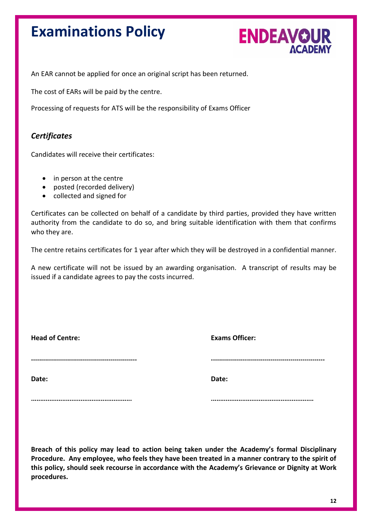

An EAR cannot be applied for once an original script has been returned.

The cost of EARs will be paid by the centre.

Processing of requests for ATS will be the responsibility of Exams Officer

#### *Certificates*

Candidates will receive their certificates:

- in person at the centre
- posted (recorded delivery)
- collected and signed for

Certificates can be collected on behalf of a candidate by third parties, provided they have written authority from the candidate to do so, and bring suitable identification with them that confirms who they are.

The centre retains certificates for 1 year after which they will be destroyed in a confidential manner.

A new certificate will not be issued by an awarding organisation. A transcript of results may be issued if a candidate agrees to pay the costs incurred.

| <b>Head of Centre:</b> | <b>Exams Officer:</b> |
|------------------------|-----------------------|
|                        |                       |
| Date:                  | Date:                 |
|                        |                       |

**Breach of this policy may lead to action being taken under the Academy's formal Disciplinary Procedure. Any employee, who feels they have been treated in a manner contrary to the spirit of this policy, should seek recourse in accordance with the Academy's Grievance or Dignity at Work procedures.**